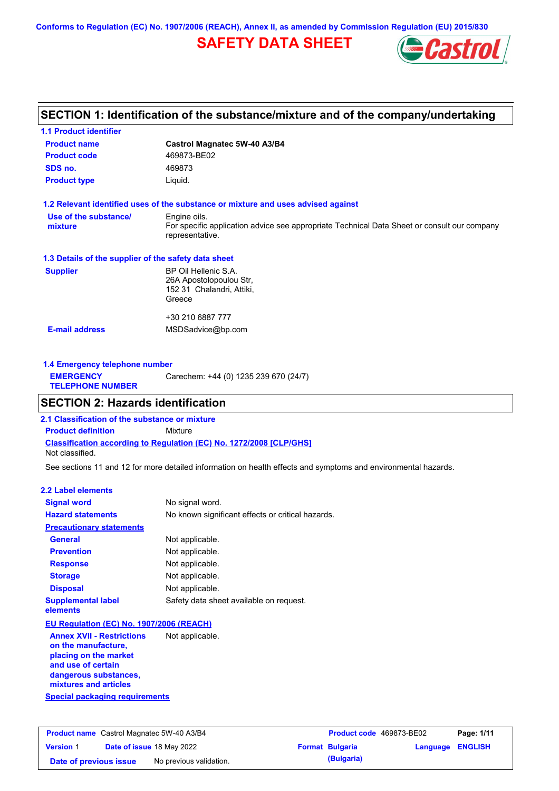**Conforms to Regulation (EC) No. 1907/2006 (REACH), Annex II, as amended by Commission Regulation (EU) 2015/830**

## **SAFETY DATA SHEET**



## **SECTION 1: Identification of the substance/mixture and of the company/undertaking**

| <b>1.1 Product identifier</b>                        |                                                                                                                |
|------------------------------------------------------|----------------------------------------------------------------------------------------------------------------|
| <b>Product name</b>                                  | Castrol Magnatec 5W-40 A3/B4                                                                                   |
| <b>Product code</b>                                  | 469873-BE02                                                                                                    |
| SDS no.                                              | 469873                                                                                                         |
| <b>Product type</b>                                  | Liquid.                                                                                                        |
|                                                      | 1.2 Relevant identified uses of the substance or mixture and uses advised against                              |
| Use of the substance/                                | Engine oils.                                                                                                   |
| mixture                                              | For specific application advice see appropriate Technical Data Sheet or consult our company<br>representative. |
| 1.3 Details of the supplier of the safety data sheet |                                                                                                                |
| <b>Supplier</b>                                      | BP Oil Hellenic S.A.                                                                                           |
|                                                      | 26A Apostolopoulou Str,                                                                                        |
|                                                      | 152 31 Chalandri, Attiki,                                                                                      |
|                                                      | Greece                                                                                                         |
|                                                      | +30 210 6887 777                                                                                               |
| <b>E-mail address</b>                                | MSDSadvice@bp.com                                                                                              |
|                                                      |                                                                                                                |
|                                                      |                                                                                                                |

| Carechem: +44 (0) 1235 239 670 (24/7)<br><b>EMERGENCY</b><br><b>TELEPHONE NUMBER</b> | 1.4 Emergency telephone number |  |  |  |
|--------------------------------------------------------------------------------------|--------------------------------|--|--|--|
|                                                                                      |                                |  |  |  |

## **SECTION 2: Hazards identification**

**Classification according to Regulation (EC) No. 1272/2008 [CLP/GHS] 2.1 Classification of the substance or mixture Product definition** Mixture Not classified.

See sections 11 and 12 for more detailed information on health effects and symptoms and environmental hazards.

#### **2.2 Label elements**

| <b>Signal word</b>                                                                                                                                       | No signal word.                                   |
|----------------------------------------------------------------------------------------------------------------------------------------------------------|---------------------------------------------------|
| <b>Hazard statements</b>                                                                                                                                 | No known significant effects or critical hazards. |
| <b>Precautionary statements</b>                                                                                                                          |                                                   |
| General                                                                                                                                                  | Not applicable.                                   |
| <b>Prevention</b>                                                                                                                                        | Not applicable.                                   |
| <b>Response</b>                                                                                                                                          | Not applicable.                                   |
| <b>Storage</b>                                                                                                                                           | Not applicable.                                   |
| <b>Disposal</b>                                                                                                                                          | Not applicable.                                   |
| <b>Supplemental label</b><br>elements                                                                                                                    | Safety data sheet available on request.           |
| EU Regulation (EC) No. 1907/2006 (REACH)                                                                                                                 |                                                   |
| <b>Annex XVII - Restrictions</b><br>on the manufacture,<br>placing on the market<br>and use of certain<br>dangerous substances,<br>mixtures and articles | Not applicable.                                   |
| Special packaging requirements                                                                                                                           |                                                   |

| <b>Product name</b> Castrol Magnatec 5W-40 A3/B4 |  | <b>Product code</b> 469873-BE02  |  | Page: 1/11             |                         |  |
|--------------------------------------------------|--|----------------------------------|--|------------------------|-------------------------|--|
| <b>Version 1</b>                                 |  | <b>Date of issue 18 May 2022</b> |  | <b>Format Bulgaria</b> | <b>Language ENGLISH</b> |  |
| Date of previous issue                           |  | No previous validation.          |  | (Bulgaria)             |                         |  |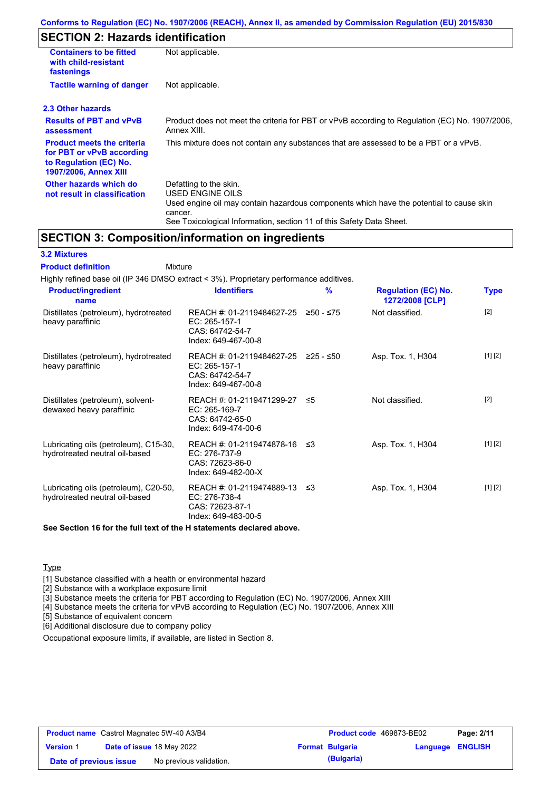## **SECTION 2: Hazards identification**

| <b>Containers to be fitted</b><br>with child-resistant<br>fastenings                                                     | Not applicable.                                                                                                                                                                                                          |
|--------------------------------------------------------------------------------------------------------------------------|--------------------------------------------------------------------------------------------------------------------------------------------------------------------------------------------------------------------------|
| <b>Tactile warning of danger</b>                                                                                         | Not applicable.                                                                                                                                                                                                          |
| 2.3 Other hazards                                                                                                        |                                                                                                                                                                                                                          |
| <b>Results of PBT and vPvB</b><br>assessment                                                                             | Product does not meet the criteria for PBT or vPvB according to Regulation (EC) No. 1907/2006,<br>Annex XIII.                                                                                                            |
| <b>Product meets the criteria</b><br>for PBT or vPvB according<br>to Regulation (EC) No.<br><b>1907/2006, Annex XIII</b> | This mixture does not contain any substances that are assessed to be a PBT or a vPvB.                                                                                                                                    |
| Other hazards which do<br>not result in classification                                                                   | Defatting to the skin.<br>USED ENGINE OILS<br>Used engine oil may contain hazardous components which have the potential to cause skin<br>cancer.<br>See Toxicological Information, section 11 of this Safety Data Sheet. |

### **SECTION 3: Composition/information on ingredients**

**Mixture** 

### **3.2 Mixtures**

**Product definition**

| Highly refined base oil (IP 346 DMSO extract < 3%). Proprietary performance additives. |                                                                                                            |   |                                               |             |
|----------------------------------------------------------------------------------------|------------------------------------------------------------------------------------------------------------|---|-----------------------------------------------|-------------|
| <b>Product/ingredient</b><br>name                                                      | <b>Identifiers</b>                                                                                         | % | <b>Regulation (EC) No.</b><br>1272/2008 [CLP] | <b>Type</b> |
| Distillates (petroleum), hydrotreated<br>heavy paraffinic                              | REACH #: 01-2119484627-25 $\geq$ 50 - $\leq$ 75<br>EC: 265-157-1<br>CAS: 64742-54-7<br>Index: 649-467-00-8 |   | Not classified.                               | $[2]$       |
| Distillates (petroleum), hydrotreated<br>heavy paraffinic                              | REACH #: 01-2119484627-25 ≥25 - ≤50<br>EC: 265-157-1<br>CAS: 64742-54-7<br>Index: 649-467-00-8             |   | Asp. Tox. 1, H304                             | [1] [2]     |
| Distillates (petroleum), solvent-<br>dewaxed heavy paraffinic                          | REACH #: 01-2119471299-27 ≤5<br>EC: 265-169-7<br>CAS: 64742-65-0<br>Index: 649-474-00-6                    |   | Not classified.                               | $[2]$       |
| Lubricating oils (petroleum), C15-30,<br>hydrotreated neutral oil-based                | REACH #: 01-2119474878-16 ≤3<br>EC: 276-737-9<br>CAS: 72623-86-0<br>Index: 649-482-00-X                    |   | Asp. Tox. 1, H304                             | [1] [2]     |
| Lubricating oils (petroleum), C20-50,<br>hydrotreated neutral oil-based                | REACH #: 01-2119474889-13 ≤3<br>EC: 276-738-4<br>CAS: 72623-87-1<br>Index: 649-483-00-5                    |   | Asp. Tox. 1, H304                             | [1] [2]     |
| See Section 16 for the full text of the H statements declared above.                   |                                                                                                            |   |                                               |             |

**Type** 

[1] Substance classified with a health or environmental hazard

[2] Substance with a workplace exposure limit

[3] Substance meets the criteria for PBT according to Regulation (EC) No. 1907/2006, Annex XIII

[4] Substance meets the criteria for vPvB according to Regulation (EC) No. 1907/2006, Annex XIII

[5] Substance of equivalent concern

[6] Additional disclosure due to company policy

Occupational exposure limits, if available, are listed in Section 8.

| <b>Product name</b> Castrol Magnatec 5W-40 A3/B4 |  | <b>Product code</b> 469873-BE02  |  | Page: 2/11             |                         |  |
|--------------------------------------------------|--|----------------------------------|--|------------------------|-------------------------|--|
| <b>Version 1</b>                                 |  | <b>Date of issue 18 May 2022</b> |  | <b>Format Bulgaria</b> | <b>Language ENGLISH</b> |  |
| Date of previous issue                           |  | No previous validation.          |  | (Bulgaria)             |                         |  |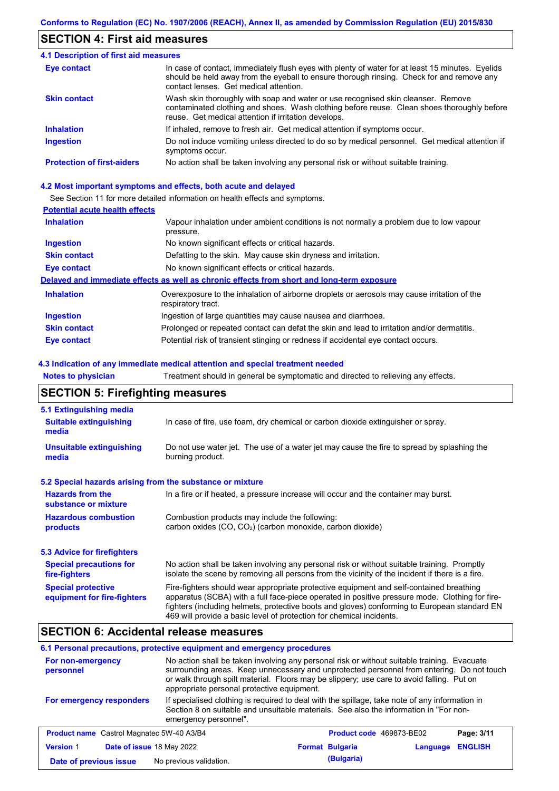### **SECTION 4: First aid measures**

| <b>4.1 Description of first aid measures</b> |                                                                                                                                                                                                                                         |
|----------------------------------------------|-----------------------------------------------------------------------------------------------------------------------------------------------------------------------------------------------------------------------------------------|
| Eye contact                                  | In case of contact, immediately flush eyes with plenty of water for at least 15 minutes. Eyelids<br>should be held away from the eyeball to ensure thorough rinsing. Check for and remove any<br>contact lenses. Get medical attention. |
| <b>Skin contact</b>                          | Wash skin thoroughly with soap and water or use recognised skin cleanser. Remove<br>contaminated clothing and shoes. Wash clothing before reuse. Clean shoes thoroughly before<br>reuse. Get medical attention if irritation develops.  |
| <b>Inhalation</b>                            | If inhaled, remove to fresh air. Get medical attention if symptoms occur.                                                                                                                                                               |
| <b>Ingestion</b>                             | Do not induce vomiting unless directed to do so by medical personnel. Get medical attention if<br>symptoms occur.                                                                                                                       |
| <b>Protection of first-aiders</b>            | No action shall be taken involving any personal risk or without suitable training.                                                                                                                                                      |

#### **4.2 Most important symptoms and effects, both acute and delayed**

See Section 11 for more detailed information on health effects and symptoms.

### **Potential acute health effects**

| <b>Inhalation</b>   | Vapour inhalation under ambient conditions is not normally a problem due to low vapour<br>pressure.               |
|---------------------|-------------------------------------------------------------------------------------------------------------------|
| <b>Ingestion</b>    | No known significant effects or critical hazards.                                                                 |
| <b>Skin contact</b> | Defatting to the skin. May cause skin dryness and irritation.                                                     |
| Eye contact         | No known significant effects or critical hazards.                                                                 |
|                     | Delayed and immediate effects as well as chronic effects from short and long-term exposure                        |
| <b>Inhalation</b>   | Overexposure to the inhalation of airborne droplets or aerosols may cause irritation of the<br>respiratory tract. |
| <b>Ingestion</b>    | Ingestion of large quantities may cause nausea and diarrhoea.                                                     |
| <b>Skin contact</b> | Prolonged or repeated contact can defat the skin and lead to irritation and/or dermatitis.                        |
| Eye contact         | Potential risk of transient stinging or redness if accidental eye contact occurs.                                 |

#### **4.3 Indication of any immediate medical attention and special treatment needed**

**Notes to physician** Treatment should in general be symptomatic and directed to relieving any effects.

## **SECTION 5: Firefighting measures**

| 5.1 Extinguishing media                                                                                                                                  |                                                                                                                                                                                                                                                                                                                                                                   |  |  |
|----------------------------------------------------------------------------------------------------------------------------------------------------------|-------------------------------------------------------------------------------------------------------------------------------------------------------------------------------------------------------------------------------------------------------------------------------------------------------------------------------------------------------------------|--|--|
| In case of fire, use foam, dry chemical or carbon dioxide extinguisher or spray.<br><b>Suitable extinguishing</b><br>media                               |                                                                                                                                                                                                                                                                                                                                                                   |  |  |
| <b>Unsuitable extinguishing</b><br>media                                                                                                                 | Do not use water jet. The use of a water jet may cause the fire to spread by splashing the<br>burning product.                                                                                                                                                                                                                                                    |  |  |
| 5.2 Special hazards arising from the substance or mixture                                                                                                |                                                                                                                                                                                                                                                                                                                                                                   |  |  |
| <b>Hazards from the</b><br>substance or mixture                                                                                                          | In a fire or if heated, a pressure increase will occur and the container may burst.                                                                                                                                                                                                                                                                               |  |  |
| <b>Hazardous combustion</b><br>Combustion products may include the following:<br>carbon oxides $(CO, CO2)$ (carbon monoxide, carbon dioxide)<br>products |                                                                                                                                                                                                                                                                                                                                                                   |  |  |
| 5.3 Advice for firefighters                                                                                                                              |                                                                                                                                                                                                                                                                                                                                                                   |  |  |
| <b>Special precautions for</b><br>fire-fighters                                                                                                          | No action shall be taken involving any personal risk or without suitable training. Promptly<br>isolate the scene by removing all persons from the vicinity of the incident if there is a fire.                                                                                                                                                                    |  |  |
| <b>Special protective</b><br>equipment for fire-fighters                                                                                                 | Fire-fighters should wear appropriate protective equipment and self-contained breathing<br>apparatus (SCBA) with a full face-piece operated in positive pressure mode. Clothing for fire-<br>fighters (including helmets, protective boots and gloves) conforming to European standard EN<br>469 will provide a basic level of protection for chemical incidents. |  |  |

### **SECTION 6: Accidental release measures**

### **6.1 Personal precautions, protective equipment and emergency procedures**

| For non-emergency<br>personnel                   | No action shall be taken involving any personal risk or without suitable training. Evacuate<br>surrounding areas. Keep unnecessary and unprotected personnel from entering. Do not touch<br>or walk through spilt material. Floors may be slippery; use care to avoid falling. Put on<br>appropriate personal protective equipment. |                        |                          |                |
|--------------------------------------------------|-------------------------------------------------------------------------------------------------------------------------------------------------------------------------------------------------------------------------------------------------------------------------------------------------------------------------------------|------------------------|--------------------------|----------------|
| For emergency responders                         | If specialised clothing is required to deal with the spillage, take note of any information in<br>Section 8 on suitable and unsuitable materials. See also the information in "For non-<br>emergency personnel".                                                                                                                    |                        |                          |                |
| <b>Product name</b> Castrol Magnatec 5W-40 A3/B4 |                                                                                                                                                                                                                                                                                                                                     |                        | Product code 469873-BE02 | Page: 3/11     |
| Date of issue 18 May 2022<br><b>Version 1</b>    |                                                                                                                                                                                                                                                                                                                                     | <b>Format Bulgaria</b> | Language                 | <b>ENGLISH</b> |
| Date of previous issue                           | No previous validation.                                                                                                                                                                                                                                                                                                             | (Bulgaria)             |                          |                |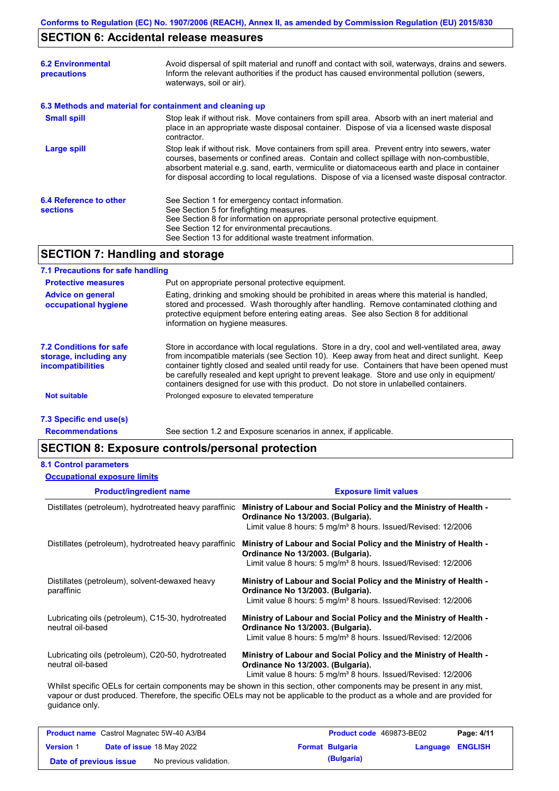## **SECTION 6: Accidental release measures**

| <b>6.2 Environmental</b><br>precautions                  | Avoid dispersal of spilt material and runoff and contact with soil, waterways, drains and sewers.<br>Inform the relevant authorities if the product has caused environmental pollution (sewers,<br>waterways, soil or air).                                                                                                                                                                    |
|----------------------------------------------------------|------------------------------------------------------------------------------------------------------------------------------------------------------------------------------------------------------------------------------------------------------------------------------------------------------------------------------------------------------------------------------------------------|
| 6.3 Methods and material for containment and cleaning up |                                                                                                                                                                                                                                                                                                                                                                                                |
| <b>Small spill</b>                                       | Stop leak if without risk. Move containers from spill area. Absorb with an inert material and<br>place in an appropriate waste disposal container. Dispose of via a licensed waste disposal<br>contractor.                                                                                                                                                                                     |
| Large spill                                              | Stop leak if without risk. Move containers from spill area. Prevent entry into sewers, water<br>courses, basements or confined areas. Contain and collect spillage with non-combustible,<br>absorbent material e.g. sand, earth, vermiculite or diatomaceous earth and place in container<br>for disposal according to local regulations. Dispose of via a licensed waste disposal contractor. |
| 6.4 Reference to other<br><b>sections</b>                | See Section 1 for emergency contact information.<br>See Section 5 for firefighting measures.<br>See Section 8 for information on appropriate personal protective equipment.<br>See Section 12 for environmental precautions.<br>See Section 13 for additional waste treatment information.                                                                                                     |

## **SECTION 7: Handling and storage**

### **7.1 Precautions for safe handling**

| <b>Protective measures</b>                                             | Put on appropriate personal protective equipment.                                                                                                                                                                                                                                                                                                                                                                                                                                        |
|------------------------------------------------------------------------|------------------------------------------------------------------------------------------------------------------------------------------------------------------------------------------------------------------------------------------------------------------------------------------------------------------------------------------------------------------------------------------------------------------------------------------------------------------------------------------|
| <b>Advice on general</b><br>occupational hygiene                       | Eating, drinking and smoking should be prohibited in areas where this material is handled,<br>stored and processed. Wash thoroughly after handling. Remove contaminated clothing and<br>protective equipment before entering eating areas. See also Section 8 for additional<br>information on hygiene measures.                                                                                                                                                                         |
| 7.2 Conditions for safe<br>storage, including any<br>incompatibilities | Store in accordance with local requlations. Store in a dry, cool and well-ventilated area, away<br>from incompatible materials (see Section 10). Keep away from heat and direct sunlight. Keep<br>container tightly closed and sealed until ready for use. Containers that have been opened must<br>be carefully resealed and kept upright to prevent leakage. Store and use only in equipment/<br>containers designed for use with this product. Do not store in unlabelled containers. |
| <b>Not suitable</b>                                                    | Prolonged exposure to elevated temperature                                                                                                                                                                                                                                                                                                                                                                                                                                               |
| 7.3 Specific end use(s)                                                |                                                                                                                                                                                                                                                                                                                                                                                                                                                                                          |

**Recommendations**

See section 1.2 and Exposure scenarios in annex, if applicable.

### **SECTION 8: Exposure controls/personal protection**

#### **8.1 Control parameters**

**Occupational exposure limits**

| <b>Product/ingredient name</b>                                          | <b>Exposure limit values</b>                                                                                                                                                         |
|-------------------------------------------------------------------------|--------------------------------------------------------------------------------------------------------------------------------------------------------------------------------------|
| Distillates (petroleum), hydrotreated heavy paraffinic                  | Ministry of Labour and Social Policy and the Ministry of Health -<br>Ordinance No 13/2003. (Bulgaria).<br>Limit value 8 hours: 5 mg/m <sup>3</sup> 8 hours. Issued/Revised: 12/2006  |
| Distillates (petroleum), hydrotreated heavy paraffinic                  | Ministry of Labour and Social Policy and the Ministry of Health -<br>Ordinance No 13/2003. (Bulgaria).<br>Limit value 8 hours: 5 mg/m <sup>3</sup> 8 hours. Issued/Revised: 12/2006  |
| Distillates (petroleum), solvent-dewaxed heavy<br>paraffinic            | Ministry of Labour and Social Policy and the Ministry of Health -<br>Ordinance No 13/2003. (Bulgaria).<br>Limit value 8 hours: 5 mg/m <sup>3</sup> 8 hours. Issued/Revised: 12/2006  |
| Lubricating oils (petroleum), C15-30, hydrotreated<br>neutral oil-based | Ministry of Labour and Social Policy and the Ministry of Health -<br>Ordinance No 13/2003. (Bulgaria).<br>Limit value 8 hours: 5 mg/m <sup>3</sup> 8 hours. Issued/Revised: 12/2006  |
| Lubricating oils (petroleum), C20-50, hydrotreated<br>neutral oil-based | Ministry of Labour and Social Policy and the Ministry of Health -<br>Ordinance No 13/2003. (Bulgaria).<br>Limit value 8 hours: $5 \text{ mg/m}^3$ 8 hours. Issued/Revised: $12/2006$ |
|                                                                         | Whilst specific OELs for certain components may be shown in this section, other components may be present in any mist,                                                               |

vapour or dust produced. Therefore, the specific OELs may not be applicable to the product as a whole and are provided for guidance only.

| <b>Product name</b> Castrol Magnatec 5W-40 A3/B4 |  | <b>Product code</b> 469873-BE02  | Page: 4/11 |                        |                         |  |
|--------------------------------------------------|--|----------------------------------|------------|------------------------|-------------------------|--|
| <b>Version 1</b>                                 |  | <b>Date of issue 18 May 2022</b> |            | <b>Format Bulgaria</b> | <b>Language ENGLISH</b> |  |
| Date of previous issue                           |  | No previous validation.          |            | (Bulgaria)             |                         |  |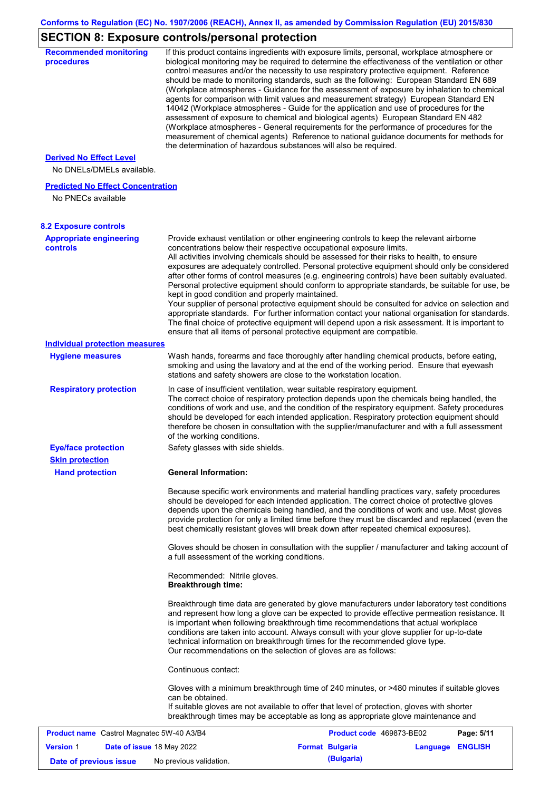## **SECTION 8: Exposure controls/personal protection**

| <b>Recommended monitoring</b><br>procedures                    |                                                           | If this product contains ingredients with exposure limits, personal, workplace atmosphere or<br>biological monitoring may be required to determine the effectiveness of the ventilation or other<br>control measures and/or the necessity to use respiratory protective equipment. Reference<br>should be made to monitoring standards, such as the following: European Standard EN 689<br>(Workplace atmospheres - Guidance for the assessment of exposure by inhalation to chemical<br>agents for comparison with limit values and measurement strategy) European Standard EN<br>14042 (Workplace atmospheres - Guide for the application and use of procedures for the<br>assessment of exposure to chemical and biological agents) European Standard EN 482<br>(Workplace atmospheres - General requirements for the performance of procedures for the<br>measurement of chemical agents) Reference to national guidance documents for methods for<br>the determination of hazardous substances will also be required. |                  |            |
|----------------------------------------------------------------|-----------------------------------------------------------|----------------------------------------------------------------------------------------------------------------------------------------------------------------------------------------------------------------------------------------------------------------------------------------------------------------------------------------------------------------------------------------------------------------------------------------------------------------------------------------------------------------------------------------------------------------------------------------------------------------------------------------------------------------------------------------------------------------------------------------------------------------------------------------------------------------------------------------------------------------------------------------------------------------------------------------------------------------------------------------------------------------------------|------------------|------------|
| <b>Derived No Effect Level</b><br>No DNELs/DMELs available.    |                                                           |                                                                                                                                                                                                                                                                                                                                                                                                                                                                                                                                                                                                                                                                                                                                                                                                                                                                                                                                                                                                                            |                  |            |
| <b>Predicted No Effect Concentration</b><br>No PNECs available |                                                           |                                                                                                                                                                                                                                                                                                                                                                                                                                                                                                                                                                                                                                                                                                                                                                                                                                                                                                                                                                                                                            |                  |            |
| <b>8.2 Exposure controls</b>                                   |                                                           |                                                                                                                                                                                                                                                                                                                                                                                                                                                                                                                                                                                                                                                                                                                                                                                                                                                                                                                                                                                                                            |                  |            |
| <b>Appropriate engineering</b><br>controls                     | kept in good condition and properly maintained.           | Provide exhaust ventilation or other engineering controls to keep the relevant airborne<br>concentrations below their respective occupational exposure limits.<br>All activities involving chemicals should be assessed for their risks to health, to ensure<br>exposures are adequately controlled. Personal protective equipment should only be considered<br>after other forms of control measures (e.g. engineering controls) have been suitably evaluated.<br>Personal protective equipment should conform to appropriate standards, be suitable for use, be<br>Your supplier of personal protective equipment should be consulted for advice on selection and<br>appropriate standards. For further information contact your national organisation for standards.<br>The final choice of protective equipment will depend upon a risk assessment. It is important to<br>ensure that all items of personal protective equipment are compatible.                                                                       |                  |            |
| <b>Individual protection measures</b>                          |                                                           |                                                                                                                                                                                                                                                                                                                                                                                                                                                                                                                                                                                                                                                                                                                                                                                                                                                                                                                                                                                                                            |                  |            |
| <b>Hygiene measures</b>                                        |                                                           | Wash hands, forearms and face thoroughly after handling chemical products, before eating,<br>smoking and using the lavatory and at the end of the working period. Ensure that eyewash<br>stations and safety showers are close to the workstation location.                                                                                                                                                                                                                                                                                                                                                                                                                                                                                                                                                                                                                                                                                                                                                                |                  |            |
| <b>Respiratory protection</b>                                  | of the working conditions.                                | In case of insufficient ventilation, wear suitable respiratory equipment.<br>The correct choice of respiratory protection depends upon the chemicals being handled, the<br>conditions of work and use, and the condition of the respiratory equipment. Safety procedures<br>should be developed for each intended application. Respiratory protection equipment should<br>therefore be chosen in consultation with the supplier/manufacturer and with a full assessment                                                                                                                                                                                                                                                                                                                                                                                                                                                                                                                                                    |                  |            |
| <b>Eye/face protection</b><br><b>Skin protection</b>           | Safety glasses with side shields.                         |                                                                                                                                                                                                                                                                                                                                                                                                                                                                                                                                                                                                                                                                                                                                                                                                                                                                                                                                                                                                                            |                  |            |
| <b>Hand protection</b>                                         | <b>General Information:</b>                               |                                                                                                                                                                                                                                                                                                                                                                                                                                                                                                                                                                                                                                                                                                                                                                                                                                                                                                                                                                                                                            |                  |            |
|                                                                |                                                           | Because specific work environments and material handling practices vary, safety procedures<br>should be developed for each intended application. The correct choice of protective gloves<br>depends upon the chemicals being handled, and the conditions of work and use. Most gloves<br>provide protection for only a limited time before they must be discarded and replaced (even the<br>best chemically resistant gloves will break down after repeated chemical exposures).<br>Gloves should be chosen in consultation with the supplier / manufacturer and taking account of                                                                                                                                                                                                                                                                                                                                                                                                                                         |                  |            |
|                                                                | a full assessment of the working conditions.              |                                                                                                                                                                                                                                                                                                                                                                                                                                                                                                                                                                                                                                                                                                                                                                                                                                                                                                                                                                                                                            |                  |            |
|                                                                | Recommended: Nitrile gloves.<br><b>Breakthrough time:</b> |                                                                                                                                                                                                                                                                                                                                                                                                                                                                                                                                                                                                                                                                                                                                                                                                                                                                                                                                                                                                                            |                  |            |
|                                                                |                                                           | Breakthrough time data are generated by glove manufacturers under laboratory test conditions<br>and represent how long a glove can be expected to provide effective permeation resistance. It<br>is important when following breakthrough time recommendations that actual workplace<br>conditions are taken into account. Always consult with your glove supplier for up-to-date<br>technical information on breakthrough times for the recommended glove type.<br>Our recommendations on the selection of gloves are as follows:                                                                                                                                                                                                                                                                                                                                                                                                                                                                                         |                  |            |
|                                                                | Continuous contact:                                       |                                                                                                                                                                                                                                                                                                                                                                                                                                                                                                                                                                                                                                                                                                                                                                                                                                                                                                                                                                                                                            |                  |            |
|                                                                | can be obtained.                                          | Gloves with a minimum breakthrough time of 240 minutes, or >480 minutes if suitable gloves<br>If suitable gloves are not available to offer that level of protection, gloves with shorter<br>breakthrough times may be acceptable as long as appropriate glove maintenance and                                                                                                                                                                                                                                                                                                                                                                                                                                                                                                                                                                                                                                                                                                                                             |                  |            |
| Product name Castrol Magnatec 5W-40 A3/B4                      |                                                           | Product code 469873-BE02                                                                                                                                                                                                                                                                                                                                                                                                                                                                                                                                                                                                                                                                                                                                                                                                                                                                                                                                                                                                   |                  | Page: 5/11 |
| <b>Version 1</b><br>Date of issue 18 May 2022                  |                                                           | <b>Format Bulgaria</b>                                                                                                                                                                                                                                                                                                                                                                                                                                                                                                                                                                                                                                                                                                                                                                                                                                                                                                                                                                                                     | Language ENGLISH |            |
| Date of previous issue                                         | No previous validation.                                   | (Bulgaria)                                                                                                                                                                                                                                                                                                                                                                                                                                                                                                                                                                                                                                                                                                                                                                                                                                                                                                                                                                                                                 |                  |            |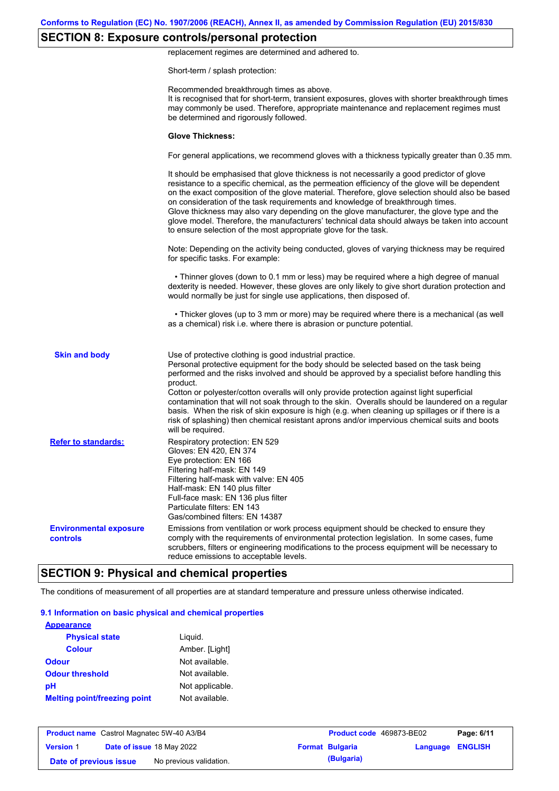## **SECTION 8: Exposure controls/personal protection**

replacement regimes are determined and adhered to.

Short-term / splash protection:

|                                           | Recommended breakthrough times as above.<br>It is recognised that for short-term, transient exposures, gloves with shorter breakthrough times<br>may commonly be used. Therefore, appropriate maintenance and replacement regimes must<br>be determined and rigorously followed.<br><b>Glove Thickness:</b>                                                                                                                                                                                                                                                                                                                                                                           |
|-------------------------------------------|---------------------------------------------------------------------------------------------------------------------------------------------------------------------------------------------------------------------------------------------------------------------------------------------------------------------------------------------------------------------------------------------------------------------------------------------------------------------------------------------------------------------------------------------------------------------------------------------------------------------------------------------------------------------------------------|
|                                           | For general applications, we recommend gloves with a thickness typically greater than 0.35 mm.                                                                                                                                                                                                                                                                                                                                                                                                                                                                                                                                                                                        |
|                                           | It should be emphasised that glove thickness is not necessarily a good predictor of glove<br>resistance to a specific chemical, as the permeation efficiency of the glove will be dependent<br>on the exact composition of the glove material. Therefore, glove selection should also be based<br>on consideration of the task requirements and knowledge of breakthrough times.<br>Glove thickness may also vary depending on the glove manufacturer, the glove type and the<br>glove model. Therefore, the manufacturers' technical data should always be taken into account<br>to ensure selection of the most appropriate glove for the task.                                     |
|                                           | Note: Depending on the activity being conducted, gloves of varying thickness may be required<br>for specific tasks. For example:                                                                                                                                                                                                                                                                                                                                                                                                                                                                                                                                                      |
|                                           | • Thinner gloves (down to 0.1 mm or less) may be required where a high degree of manual<br>dexterity is needed. However, these gloves are only likely to give short duration protection and<br>would normally be just for single use applications, then disposed of.                                                                                                                                                                                                                                                                                                                                                                                                                  |
|                                           | • Thicker gloves (up to 3 mm or more) may be required where there is a mechanical (as well<br>as a chemical) risk i.e. where there is abrasion or puncture potential.                                                                                                                                                                                                                                                                                                                                                                                                                                                                                                                 |
| <b>Skin and body</b>                      | Use of protective clothing is good industrial practice.<br>Personal protective equipment for the body should be selected based on the task being<br>performed and the risks involved and should be approved by a specialist before handling this<br>product.<br>Cotton or polyester/cotton overalls will only provide protection against light superficial<br>contamination that will not soak through to the skin. Overalls should be laundered on a regular<br>basis. When the risk of skin exposure is high (e.g. when cleaning up spillages or if there is a<br>risk of splashing) then chemical resistant aprons and/or impervious chemical suits and boots<br>will be required. |
| <b>Refer to standards:</b>                | Respiratory protection: EN 529<br>Gloves: EN 420, EN 374<br>Eye protection: EN 166<br>Filtering half-mask: EN 149<br>Filtering half-mask with valve: EN 405<br>Half-mask: EN 140 plus filter<br>Full-face mask: EN 136 plus filter<br>Particulate filters: EN 143<br>Gas/combined filters: EN 14387                                                                                                                                                                                                                                                                                                                                                                                   |
| <b>Environmental exposure</b><br>controls | Emissions from ventilation or work process equipment should be checked to ensure they<br>comply with the requirements of environmental protection legislation. In some cases, fume<br>scrubbers, filters or engineering modifications to the process equipment will be necessary to<br>reduce emissions to acceptable levels.                                                                                                                                                                                                                                                                                                                                                         |

# **SECTION 9: Physical and chemical properties**

The conditions of measurement of all properties are at standard temperature and pressure unless otherwise indicated.

#### **9.1 Information on basic physical and chemical properties**

| <b>Appearance</b>                   |                 |
|-------------------------------------|-----------------|
| <b>Physical state</b>               | Liguid.         |
| <b>Colour</b>                       | Amber. [Light]  |
| <b>Odour</b>                        | Not available.  |
| <b>Odour threshold</b>              | Not available.  |
| рH                                  | Not applicable. |
| <b>Melting point/freezing point</b> | Not available.  |

| <b>Product name</b> Castrol Magnatec 5W-40 A3/B4 |  | <b>Product code</b> 469873-BE02 |  | Page: 6/11             |                         |  |
|--------------------------------------------------|--|---------------------------------|--|------------------------|-------------------------|--|
| <b>Version 1</b>                                 |  | Date of issue 18 May 2022       |  | <b>Format Bulgaria</b> | <b>Language ENGLISH</b> |  |
| Date of previous issue                           |  | No previous validation.         |  | (Bulgaria)             |                         |  |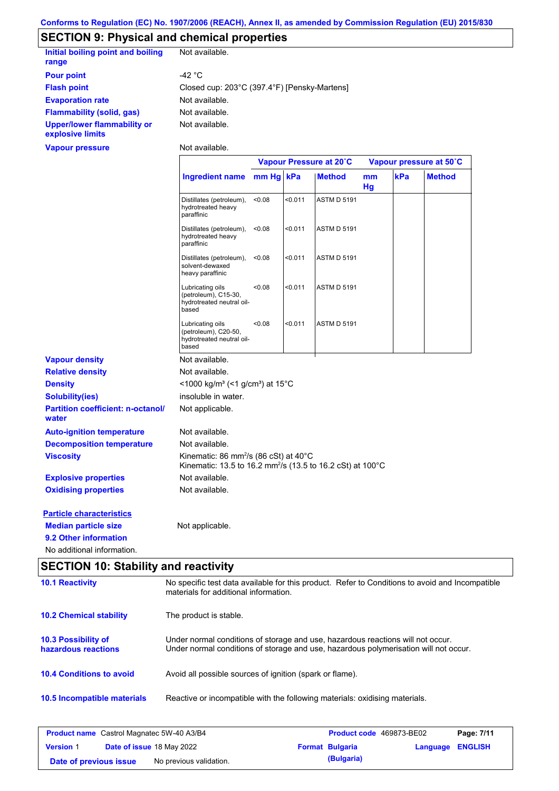## **SECTION 9: Physical and chemical properties**

| Initial boiling point and boiling<br>range             | Not available.                               |
|--------------------------------------------------------|----------------------------------------------|
| <b>Pour point</b>                                      | -42 °C                                       |
| <b>Flash point</b>                                     | Closed cup: 203°C (397.4°F) [Pensky-Martens] |
| <b>Evaporation rate</b>                                | Not available.                               |
| <b>Flammability (solid, gas)</b>                       | Not available.                               |
| <b>Upper/lower flammability or</b><br>explosive limits | Not available.                               |

**Vapour pressure**

Not available.

|                                                   |                                                                                                                             | Vapour Pressure at 20°C |         |                    | Vapour pressure at 50°C |     |               |
|---------------------------------------------------|-----------------------------------------------------------------------------------------------------------------------------|-------------------------|---------|--------------------|-------------------------|-----|---------------|
|                                                   | Ingredient name                                                                                                             | mm Hg kPa               |         | <b>Method</b>      | mm<br>Hg                | kPa | <b>Method</b> |
|                                                   | Distillates (petroleum),<br>hydrotreated heavy<br>paraffinic                                                                | < 0.08                  | < 0.011 | <b>ASTM D 5191</b> |                         |     |               |
|                                                   | Distillates (petroleum),<br>hydrotreated heavy<br>paraffinic                                                                | < 0.08                  | < 0.011 | <b>ASTM D 5191</b> |                         |     |               |
|                                                   | Distillates (petroleum),<br>solvent-dewaxed<br>heavy paraffinic                                                             | < 0.08                  | < 0.011 | <b>ASTM D 5191</b> |                         |     |               |
|                                                   | Lubricating oils<br>(petroleum), C15-30,<br>hydrotreated neutral oil-<br>based                                              | < 0.08                  | 50.011  | <b>ASTM D 5191</b> |                         |     |               |
|                                                   | Lubricating oils<br>(petroleum), C20-50,<br>hydrotreated neutral oil-<br>based                                              | < 0.08                  | < 0.011 | <b>ASTM D 5191</b> |                         |     |               |
| <b>Vapour density</b>                             | Not available.                                                                                                              |                         |         |                    |                         |     |               |
| <b>Relative density</b>                           | Not available.                                                                                                              |                         |         |                    |                         |     |               |
| <b>Density</b>                                    | <1000 kg/m <sup>3</sup> (<1 g/cm <sup>3</sup> ) at 15 <sup>°</sup> C                                                        |                         |         |                    |                         |     |               |
| <b>Solubility(ies)</b>                            | insoluble in water.                                                                                                         |                         |         |                    |                         |     |               |
| <b>Partition coefficient: n-octanol/</b><br>water | Not applicable.                                                                                                             |                         |         |                    |                         |     |               |
| <b>Auto-ignition temperature</b>                  | Not available.                                                                                                              |                         |         |                    |                         |     |               |
| <b>Decomposition temperature</b>                  | Not available.                                                                                                              |                         |         |                    |                         |     |               |
| <b>Viscosity</b>                                  | Kinematic: 86 mm <sup>2</sup> /s (86 cSt) at 40°C<br>Kinematic: 13.5 to 16.2 mm <sup>2</sup> /s (13.5 to 16.2 cSt) at 100°C |                         |         |                    |                         |     |               |
| <b>Explosive properties</b>                       | Not available.                                                                                                              |                         |         |                    |                         |     |               |
| <b>Oxidising properties</b>                       | Not available.                                                                                                              |                         |         |                    |                         |     |               |
| <b>Particle characteristics</b>                   |                                                                                                                             |                         |         |                    |                         |     |               |
| <b>Median particle size</b>                       | Not applicable.                                                                                                             |                         |         |                    |                         |     |               |
| 9.2 Other information                             |                                                                                                                             |                         |         |                    |                         |     |               |
| No additional information.                        |                                                                                                                             |                         |         |                    |                         |     |               |

# **SECTION 10: Stability and reactivity**

| <b>10.1 Reactivity</b>                            | No specific test data available for this product. Refer to Conditions to avoid and Incompatible<br>materials for additional information.                                |
|---------------------------------------------------|-------------------------------------------------------------------------------------------------------------------------------------------------------------------------|
| <b>10.2 Chemical stability</b>                    | The product is stable.                                                                                                                                                  |
| <b>10.3 Possibility of</b><br>hazardous reactions | Under normal conditions of storage and use, hazardous reactions will not occur.<br>Under normal conditions of storage and use, hazardous polymerisation will not occur. |
| <b>10.4 Conditions to avoid</b>                   | Avoid all possible sources of ignition (spark or flame).                                                                                                                |
| <b>10.5 Incompatible materials</b>                | Reactive or incompatible with the following materials: oxidising materials.                                                                                             |

| <b>Product name</b> Castrol Magnatec 5W-40 A3/B4 |  | Product code 469873-BE02         | Page: 7/11 |                        |                         |  |
|--------------------------------------------------|--|----------------------------------|------------|------------------------|-------------------------|--|
| <b>Version 1</b>                                 |  | <b>Date of issue 18 May 2022</b> |            | <b>Format Bulgaria</b> | <b>Language ENGLISH</b> |  |
| Date of previous issue                           |  | No previous validation.          |            | (Bulgaria)             |                         |  |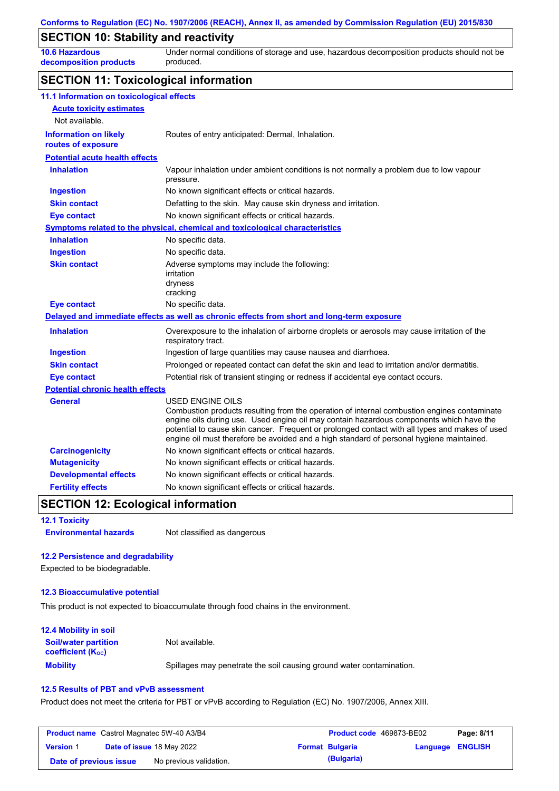### **SECTION 10: Stability and reactivity**

**10.6 Hazardous decomposition products** Under normal conditions of storage and use, hazardous decomposition products should not be produced.

### **SECTION 11: Toxicological information**

| 11.1 Information on toxicological effects          |                                                                                                                                                                                                                                                                                                                                                                                                                 |
|----------------------------------------------------|-----------------------------------------------------------------------------------------------------------------------------------------------------------------------------------------------------------------------------------------------------------------------------------------------------------------------------------------------------------------------------------------------------------------|
| <b>Acute toxicity estimates</b>                    |                                                                                                                                                                                                                                                                                                                                                                                                                 |
| Not available.                                     |                                                                                                                                                                                                                                                                                                                                                                                                                 |
| <b>Information on likely</b><br>routes of exposure | Routes of entry anticipated: Dermal, Inhalation.                                                                                                                                                                                                                                                                                                                                                                |
| <b>Potential acute health effects</b>              |                                                                                                                                                                                                                                                                                                                                                                                                                 |
| <b>Inhalation</b>                                  | Vapour inhalation under ambient conditions is not normally a problem due to low vapour<br>pressure.                                                                                                                                                                                                                                                                                                             |
| <b>Ingestion</b>                                   | No known significant effects or critical hazards.                                                                                                                                                                                                                                                                                                                                                               |
| <b>Skin contact</b>                                | Defatting to the skin. May cause skin dryness and irritation.                                                                                                                                                                                                                                                                                                                                                   |
| <b>Eye contact</b>                                 | No known significant effects or critical hazards.                                                                                                                                                                                                                                                                                                                                                               |
|                                                    | Symptoms related to the physical, chemical and toxicological characteristics                                                                                                                                                                                                                                                                                                                                    |
| <b>Inhalation</b>                                  | No specific data.                                                                                                                                                                                                                                                                                                                                                                                               |
| <b>Ingestion</b>                                   | No specific data.                                                                                                                                                                                                                                                                                                                                                                                               |
| <b>Skin contact</b>                                | Adverse symptoms may include the following:<br>irritation<br>dryness<br>cracking                                                                                                                                                                                                                                                                                                                                |
| <b>Eye contact</b>                                 | No specific data.                                                                                                                                                                                                                                                                                                                                                                                               |
|                                                    | Delayed and immediate effects as well as chronic effects from short and long-term exposure                                                                                                                                                                                                                                                                                                                      |
| <b>Inhalation</b>                                  | Overexposure to the inhalation of airborne droplets or aerosols may cause irritation of the<br>respiratory tract.                                                                                                                                                                                                                                                                                               |
| <b>Ingestion</b>                                   | Ingestion of large quantities may cause nausea and diarrhoea.                                                                                                                                                                                                                                                                                                                                                   |
| <b>Skin contact</b>                                | Prolonged or repeated contact can defat the skin and lead to irritation and/or dermatitis.                                                                                                                                                                                                                                                                                                                      |
| <b>Eye contact</b>                                 | Potential risk of transient stinging or redness if accidental eye contact occurs.                                                                                                                                                                                                                                                                                                                               |
| <b>Potential chronic health effects</b>            |                                                                                                                                                                                                                                                                                                                                                                                                                 |
| <b>General</b>                                     | <b>USED ENGINE OILS</b><br>Combustion products resulting from the operation of internal combustion engines contaminate<br>engine oils during use. Used engine oil may contain hazardous components which have the<br>potential to cause skin cancer. Frequent or prolonged contact with all types and makes of used<br>engine oil must therefore be avoided and a high standard of personal hygiene maintained. |
| <b>Carcinogenicity</b>                             | No known significant effects or critical hazards.                                                                                                                                                                                                                                                                                                                                                               |
| <b>Mutagenicity</b>                                | No known significant effects or critical hazards.                                                                                                                                                                                                                                                                                                                                                               |
| <b>Developmental effects</b>                       | No known significant effects or critical hazards.                                                                                                                                                                                                                                                                                                                                                               |
| <b>Fertility effects</b>                           | No known significant effects or critical hazards.                                                                                                                                                                                                                                                                                                                                                               |

### **SECTION 12: Ecological information**

| <b>12.1 Toxicity</b> |  |  |
|----------------------|--|--|
|                      |  |  |

**Environmental hazards** Not classified as dangerous

#### **12.2 Persistence and degradability**

Expected to be biodegradable.

#### **12.3 Bioaccumulative potential**

This product is not expected to bioaccumulate through food chains in the environment.

| <b>12.4 Mobility in soil</b>                            |                                                                      |
|---------------------------------------------------------|----------------------------------------------------------------------|
| <b>Soil/water partition</b><br><b>coefficient (Koc)</b> | Not available.                                                       |
| <b>Mobility</b>                                         | Spillages may penetrate the soil causing ground water contamination. |

#### **12.5 Results of PBT and vPvB assessment**

Product does not meet the criteria for PBT or vPvB according to Regulation (EC) No. 1907/2006, Annex XIII.

| <b>Product name</b> Castrol Magnatec 5W-40 A3/B4 |  |                                  | Product code 469873-BE02 |                        | Page: 8/11       |  |
|--------------------------------------------------|--|----------------------------------|--------------------------|------------------------|------------------|--|
| <b>Version 1</b>                                 |  | <b>Date of issue 18 May 2022</b> |                          | <b>Format Bulgaria</b> | Language ENGLISH |  |
| Date of previous issue                           |  | No previous validation.          |                          | (Bulgaria)             |                  |  |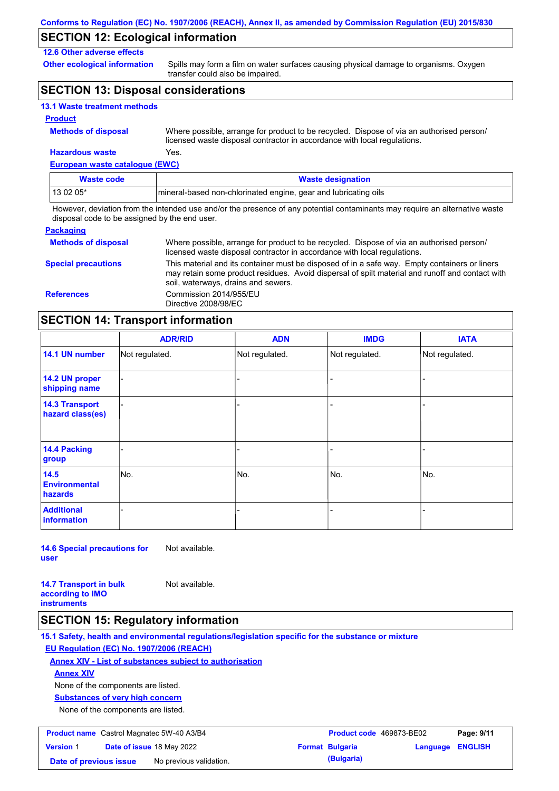### **SECTION 12: Ecological information**

### **12.6 Other adverse effects**

**Other ecological information**

Spills may form a film on water surfaces causing physical damage to organisms. Oxygen transfer could also be impaired.

### **SECTION 13: Disposal considerations**

|  |  | <b>13.1 Waste treatment methods</b> |  |
|--|--|-------------------------------------|--|
|--|--|-------------------------------------|--|

#### **Product**

| <b>Methods of disposal</b> |  |  |  |  |
|----------------------------|--|--|--|--|
|----------------------------|--|--|--|--|

**Hazardous waste** Yes. Where possible, arrange for product to be recycled. Dispose of via an authorised person/ licensed waste disposal contractor in accordance with local regulations.

**European waste catalogue (EWC)**

| Waste code | <b>Waste designation</b>                                         |
|------------|------------------------------------------------------------------|
| 13 02 05*  | Imineral-based non-chlorinated engine, gear and lubricating oils |

However, deviation from the intended use and/or the presence of any potential contaminants may require an alternative waste disposal code to be assigned by the end user.

| <b>Packaging</b>           |                                                                                                                                                                                                                                         |
|----------------------------|-----------------------------------------------------------------------------------------------------------------------------------------------------------------------------------------------------------------------------------------|
| <b>Methods of disposal</b> | Where possible, arrange for product to be recycled. Dispose of via an authorised person/<br>licensed waste disposal contractor in accordance with local regulations.                                                                    |
| <b>Special precautions</b> | This material and its container must be disposed of in a safe way. Empty containers or liners<br>may retain some product residues. Avoid dispersal of spilt material and runoff and contact with<br>soil, waterways, drains and sewers. |
| <b>References</b>          | Commission 2014/955/EU<br>Directive 2008/98/EC                                                                                                                                                                                          |

### **SECTION 14: Transport information**

|                                           | <b>ADR/RID</b> | <b>ADN</b>     | <b>IMDG</b>    | <b>IATA</b>    |
|-------------------------------------------|----------------|----------------|----------------|----------------|
| 14.1 UN number                            | Not regulated. | Not regulated. | Not regulated. | Not regulated. |
| 14.2 UN proper<br>shipping name           |                |                |                |                |
| <b>14.3 Transport</b><br>hazard class(es) |                |                |                |                |
| <b>14.4 Packing</b><br>group              |                |                |                |                |
| 14.5<br><b>Environmental</b><br>hazards   | No.            | No.            | No.            | No.            |
| <b>Additional</b><br>information          |                |                |                |                |

**14.6 Special precautions for user** Not available.

**14.7 Transport in bulk according to IMO instruments** Not available.

### **SECTION 15: Regulatory information**

**15.1 Safety, health and environmental regulations/legislation specific for the substance or mixture EU Regulation (EC) No. 1907/2006 (REACH)**

#### **Annex XIV - List of substances subject to authorisation**

**Annex XIV**

None of the components are listed.

**Substances of very high concern**

None of the components are listed.

| <b>Product name</b> Castrol Magnatec 5W-40 A3/B4 |  |                                  | <b>Product code</b> 469873-BE02 |                        | Page: 9/11              |  |
|--------------------------------------------------|--|----------------------------------|---------------------------------|------------------------|-------------------------|--|
| <b>Version 1</b>                                 |  | <b>Date of issue 18 May 2022</b> |                                 | <b>Format Bulgaria</b> | <b>Language ENGLISH</b> |  |
| Date of previous issue                           |  | No previous validation.          |                                 | (Bulgaria)             |                         |  |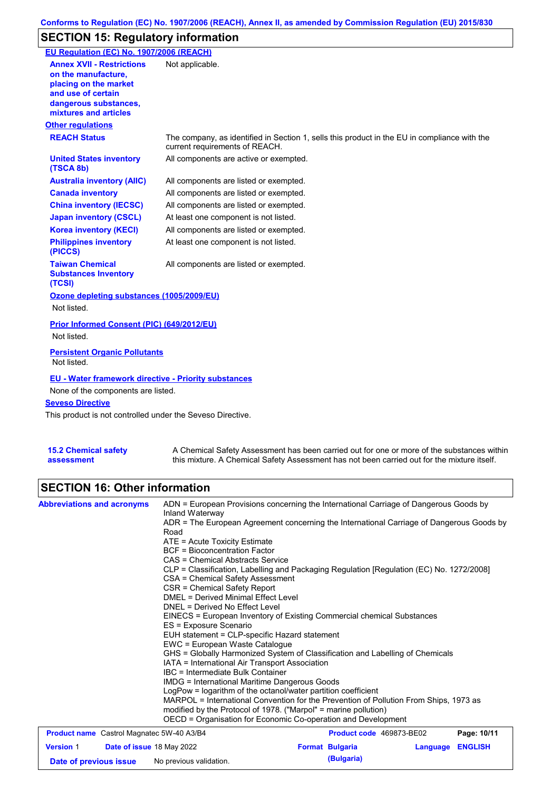## **SECTION 15: Regulatory information**

| EU Regulation (EC) No. 1907/2006 (REACH)                                                                                                                 |                                                                                                                                |
|----------------------------------------------------------------------------------------------------------------------------------------------------------|--------------------------------------------------------------------------------------------------------------------------------|
| <b>Annex XVII - Restrictions</b><br>on the manufacture.<br>placing on the market<br>and use of certain<br>dangerous substances,<br>mixtures and articles | Not applicable.                                                                                                                |
| <b>Other regulations</b>                                                                                                                                 |                                                                                                                                |
| <b>REACH Status</b>                                                                                                                                      | The company, as identified in Section 1, sells this product in the EU in compliance with the<br>current requirements of REACH. |
| <b>United States inventory</b><br>(TSCA 8b)                                                                                                              | All components are active or exempted.                                                                                         |
| <b>Australia inventory (AIIC)</b>                                                                                                                        | All components are listed or exempted.                                                                                         |
| <b>Canada inventory</b>                                                                                                                                  | All components are listed or exempted.                                                                                         |
| <b>China inventory (IECSC)</b>                                                                                                                           | All components are listed or exempted.                                                                                         |
| <b>Japan inventory (CSCL)</b>                                                                                                                            | At least one component is not listed.                                                                                          |
| <b>Korea inventory (KECI)</b>                                                                                                                            | All components are listed or exempted.                                                                                         |
| <b>Philippines inventory</b><br>(PICCS)                                                                                                                  | At least one component is not listed.                                                                                          |
| <b>Taiwan Chemical</b><br><b>Substances Inventory</b><br>(TCSI)                                                                                          | All components are listed or exempted.                                                                                         |
| Ozone depleting substances (1005/2009/EU)                                                                                                                |                                                                                                                                |
| Not listed.                                                                                                                                              |                                                                                                                                |
| Prior Informed Consent (PIC) (649/2012/EU)<br>Not listed.                                                                                                |                                                                                                                                |
| <b>Persistent Organic Pollutants</b><br>Not listed.                                                                                                      |                                                                                                                                |
| <b>EU - Water framework directive - Priority substances</b><br>None of the components are listed.                                                        |                                                                                                                                |
| <b>Seveso Directive</b>                                                                                                                                  |                                                                                                                                |
| This product is not controlled under the Seveso Directive.                                                                                               |                                                                                                                                |

| <b>15.2 Chemical safety</b> |  |
|-----------------------------|--|
| assessment                  |  |

A Chemical Safety Assessment has been carried out for one or more of the substances within this mixture. A Chemical Safety Assessment has not been carried out for the mixture itself.

## **SECTION 16: Other information**

| <b>Abbreviations and acronyms</b>                                              | ADN = European Provisions concerning the International Carriage of Dangerous Goods by<br>Inland Waterway<br>ADR = The European Agreement concerning the International Carriage of Dangerous Goods by<br>Road<br>ATE = Acute Toxicity Estimate<br><b>BCF</b> = Bioconcentration Factor<br>CAS = Chemical Abstracts Service<br>CLP = Classification, Labelling and Packaging Regulation [Regulation (EC) No. 1272/2008]<br>CSA = Chemical Safety Assessment<br>CSR = Chemical Safety Report<br><b>DMEL = Derived Minimal Effect Level</b><br>DNEL = Derived No Effect Level<br>EINECS = European Inventory of Existing Commercial chemical Substances<br>ES = Exposure Scenario<br>EUH statement = CLP-specific Hazard statement<br>EWC = European Waste Catalogue<br>GHS = Globally Harmonized System of Classification and Labelling of Chemicals<br>IATA = International Air Transport Association<br>IBC = Intermediate Bulk Container<br>IMDG = International Maritime Dangerous Goods<br>LogPow = logarithm of the octanol/water partition coefficient<br>MARPOL = International Convention for the Prevention of Pollution From Ships, 1973 as<br>modified by the Protocol of 1978. ("Marpol" = marine pollution)<br>OECD = Organisation for Economic Co-operation and Development |                                      |          |                |
|--------------------------------------------------------------------------------|-----------------------------------------------------------------------------------------------------------------------------------------------------------------------------------------------------------------------------------------------------------------------------------------------------------------------------------------------------------------------------------------------------------------------------------------------------------------------------------------------------------------------------------------------------------------------------------------------------------------------------------------------------------------------------------------------------------------------------------------------------------------------------------------------------------------------------------------------------------------------------------------------------------------------------------------------------------------------------------------------------------------------------------------------------------------------------------------------------------------------------------------------------------------------------------------------------------------------------------------------------------------------------------------|--------------------------------------|----------|----------------|
| <b>Product name</b> Castrol Magnatec 5W-40 A3/B4                               |                                                                                                                                                                                                                                                                                                                                                                                                                                                                                                                                                                                                                                                                                                                                                                                                                                                                                                                                                                                                                                                                                                                                                                                                                                                                                         | Product code 469873-BE02             |          | Page: 10/11    |
| <b>Version 1</b><br><b>Date of issue 18 May 2022</b><br>Date of previous issue | No previous validation.                                                                                                                                                                                                                                                                                                                                                                                                                                                                                                                                                                                                                                                                                                                                                                                                                                                                                                                                                                                                                                                                                                                                                                                                                                                                 | <b>Format Bulgaria</b><br>(Bulgaria) | Language | <b>ENGLISH</b> |